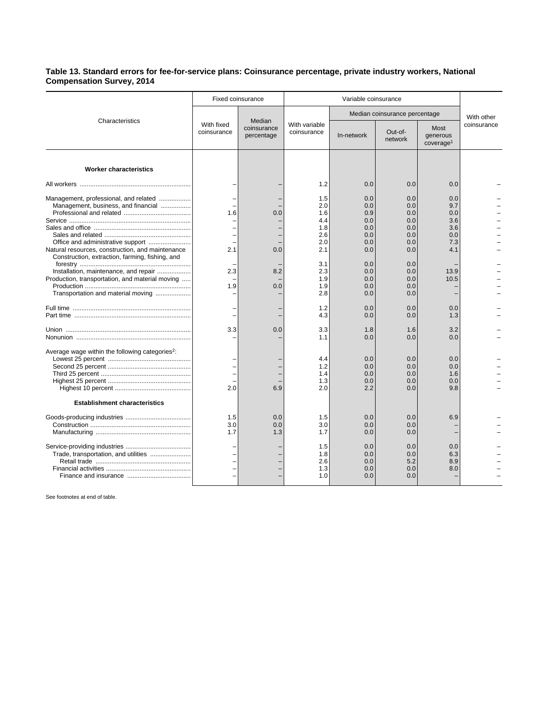## **Table 13. Standard errors for fee-for-service plans: Coinsurance percentage, private industry workers, National Compensation Survey, 2014**

| Characteristics                                                                                     | <b>Fixed coinsurance</b>  |                                     | Variable coinsurance            |                                 |                                 |                                           |             |
|-----------------------------------------------------------------------------------------------------|---------------------------|-------------------------------------|---------------------------------|---------------------------------|---------------------------------|-------------------------------------------|-------------|
|                                                                                                     | With fixed<br>coinsurance | Median<br>coinsurance<br>percentage | With variable<br>coinsurance    | Median coinsurance percentage   |                                 |                                           | With other  |
|                                                                                                     |                           |                                     |                                 | In-network                      | Out-of-<br>network              | Most<br>generous<br>coverage <sup>1</sup> | coinsurance |
| <b>Worker characteristics</b>                                                                       |                           |                                     |                                 |                                 |                                 |                                           |             |
|                                                                                                     |                           |                                     | 1.2                             | 0.0                             | 0.0                             | 0.0                                       |             |
| Management, professional, and related<br>Management, business, and financial                        | 1.6                       | 0.0                                 | 1.5<br>2.0<br>1.6<br>4.4<br>1.8 | 0.0<br>0.0<br>0.9<br>0.0<br>0.0 | 0.0<br>0.0<br>0.0<br>0.0<br>0.0 | 0.0<br>9.7<br>0.0<br>3.6<br>3.6           |             |
|                                                                                                     |                           |                                     | 2.6                             | 0.0                             | 0.0                             | 0.0                                       |             |
| Natural resources, construction, and maintenance<br>Construction, extraction, farming, fishing, and | 2.1                       | 0.0                                 | 2.0<br>2.1                      | 0.0<br>0.0                      | 0.0<br>0.0                      | 7.3<br>4.1                                |             |
| Installation, maintenance, and repair                                                               | 2.3                       | 8.2                                 | 3.1<br>2.3                      | 0.0<br>0.0                      | 0.0<br>0.0                      | 13.9                                      |             |
| Production, transportation, and material moving                                                     | 1.9                       | 0.0                                 | 1.9<br>1.9                      | 0.0<br>0.0                      | 0.0<br>0.0                      | 10.5                                      |             |
| Transportation and material moving                                                                  |                           |                                     | 2.8                             | 0.0                             | 0.0                             |                                           |             |
|                                                                                                     |                           |                                     | 1.2<br>4.3                      | 0.0<br>0.0                      | 0.0<br>0.0                      | 0.0<br>1.3                                |             |
|                                                                                                     | 3.3                       | 0.0                                 | 3.3<br>1.1                      | 1.8<br>0.0                      | 1.6<br>0.0                      | 3.2<br>0.0                                |             |
| Average wage within the following categories <sup>2</sup> :                                         | 2.0                       | 6.9                                 | 4.4<br>1.2<br>1.4<br>1.3<br>2.0 | 0.0<br>0.0<br>0.0<br>0.0<br>2.2 | 0.0<br>0.0<br>0.0<br>0.0<br>0.0 | 0.0<br>0.0<br>1.6<br>0.0<br>9.8           |             |
| <b>Establishment characteristics</b>                                                                |                           |                                     |                                 |                                 |                                 |                                           |             |
|                                                                                                     | 1.5<br>3.0<br>1.7         | 0.0<br>0.0<br>1.3                   | 1.5<br>3.0<br>1.7               | 0.0<br>0.0<br>0.0               | 0.0<br>0.0<br>0.0               | 6.9                                       |             |
| Trade, transportation, and utilities                                                                |                           |                                     | 1.5<br>1.8<br>2.6<br>1.3<br>1.0 | 0.0<br>0.0<br>0.0<br>0.0<br>0.0 | 0.0<br>0.0<br>5.2<br>0.0<br>0.0 | 0.0<br>6.3<br>8.9<br>8.0                  |             |

See footnotes at end of table.